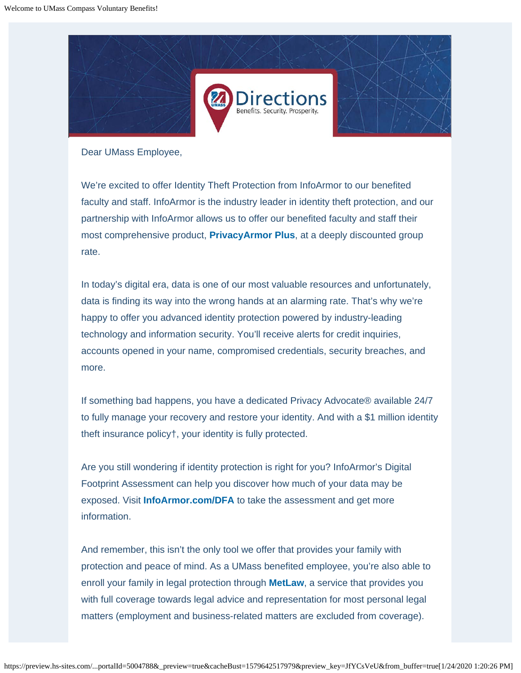

Dear UMass Employee,

We're excited to offer Identity Theft Protection from InfoArmor to our benefited faculty and staff. InfoArmor is the industry leader in identity theft protection, and our partnership with InfoArmor allows us to offer our benefited faculty and staff their most comprehensive product, **PrivacyArmor Plus**, at a deeply discounted group rate.

In today's digital era, data is one of our most valuable resources and unfortunately, data is finding its way into the wrong hands at an alarming rate. That's why we're happy to offer you advanced identity protection powered by industry-leading technology and information security. You'll receive alerts for credit inquiries, accounts opened in your name, compromised credentials, security breaches, and more.

If something bad happens, you have a dedicated Privacy Advocate® available 24/7 to fully manage your recovery and restore your identity. And with a \$1 million identity theft insurance policy†, your identity is fully protected.

Are you still wondering if identity protection is right for you? InfoArmor's Digital Footprint Assessment can help you discover how much of your data may be exposed. Visit **[InfoArmor.com/DFA](https://www.infoarmor.com/dfa)** to take the assessment and get more information.

And remember, this isn't the only tool we offer that provides your family with protection and peace of mind. As a UMass benefited employee, you're also able to enroll your family in legal protection through **MetLaw**, a service that provides you with full coverage towards legal advice and representation for most personal legal matters (employment and business-related matters are excluded from coverage).